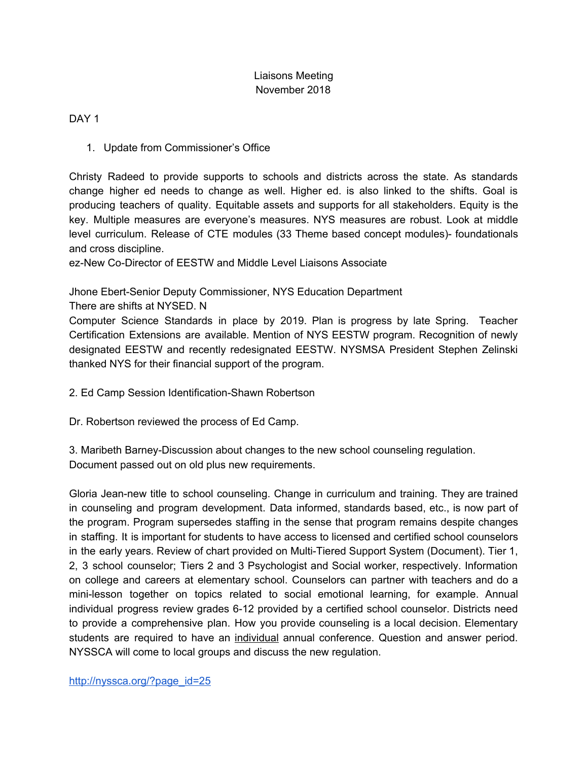# Liaisons Meeting November 2018

DAY<sub>1</sub>

1. Update from Commissioner's Office

Christy Radeed to provide supports to schools and districts across the state. As standards change higher ed needs to change as well. Higher ed. is also linked to the shifts. Goal is producing teachers of quality. Equitable assets and supports for all stakeholders. Equity is the key. Multiple measures are everyone's measures. NYS measures are robust. Look at middle level curriculum. Release of CTE modules (33 Theme based concept modules)- foundationals and cross discipline.

ez-New Co-Director of EESTW and Middle Level Liaisons Associate

Jhone Ebert-Senior Deputy Commissioner, NYS Education Department

There are shifts at NYSED. N

Computer Science Standards in place by 2019. Plan is progress by late Spring. Teacher Certification Extensions are available. Mention of NYS EESTW program. Recognition of newly designated EESTW and recently redesignated EESTW. NYSMSA President Stephen Zelinski thanked NYS for their financial support of the program.

2. Ed Camp Session Identification-Shawn Robertson

Dr. Robertson reviewed the process of Ed Camp.

3. Maribeth Barney-Discussion about changes to the new school counseling regulation. Document passed out on old plus new requirements.

Gloria Jean-new title to school counseling. Change in curriculum and training. They are trained in counseling and program development. Data informed, standards based, etc., is now part of the program. Program supersedes staffing in the sense that program remains despite changes in staffing. It is important for students to have access to licensed and certified school counselors in the early years. Review of chart provided on Multi-Tiered Support System (Document). Tier 1, 2, 3 school counselor; Tiers 2 and 3 Psychologist and Social worker, respectively. Information on college and careers at elementary school. Counselors can partner with teachers and do a mini-lesson together on topics related to social emotional learning, for example. Annual individual progress review grades 6-12 provided by a certified school counselor. Districts need to provide a comprehensive plan. How you provide counseling is a local decision. Elementary students are required to have an individual annual conference. Question and answer period. NYSSCA will come to local groups and discuss the new regulation.

[http://nyssca.org/?page\\_id=25](http://nyssca.org/?page_id=25)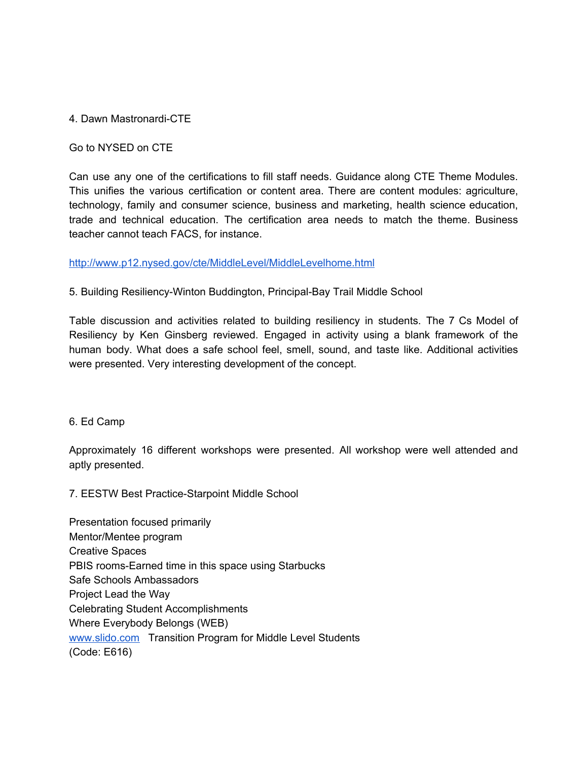### 4. Dawn Mastronardi-CTE

### Go to NYSED on CTE

Can use any one of the certifications to fill staff needs. Guidance along CTE Theme Modules. This unifies the various certification or content area. There are content modules: agriculture, technology, family and consumer science, business and marketing, health science education, trade and technical education. The certification area needs to match the theme. Business teacher cannot teach FACS, for instance.

### <http://www.p12.nysed.gov/cte/MiddleLevel/MiddleLevelhome.html>

## 5. Building Resiliency-Winton Buddington, Principal-Bay Trail Middle School

Table discussion and activities related to building resiliency in students. The 7 Cs Model of Resiliency by Ken Ginsberg reviewed. Engaged in activity using a blank framework of the human body. What does a safe school feel, smell, sound, and taste like. Additional activities were presented. Very interesting development of the concept.

#### 6. Ed Camp

Approximately 16 different workshops were presented. All workshop were well attended and aptly presented.

7. EESTW Best Practice-Starpoint Middle School

Presentation focused primarily Mentor/Mentee program Creative Spaces PBIS rooms-Earned time in this space using Starbucks Safe Schools Ambassadors Project Lead the Way Celebrating Student Accomplishments Where Everybody Belongs (WEB) [www.slido.com](http://www.slido.com/) Transition Program for Middle Level Students (Code: E616)